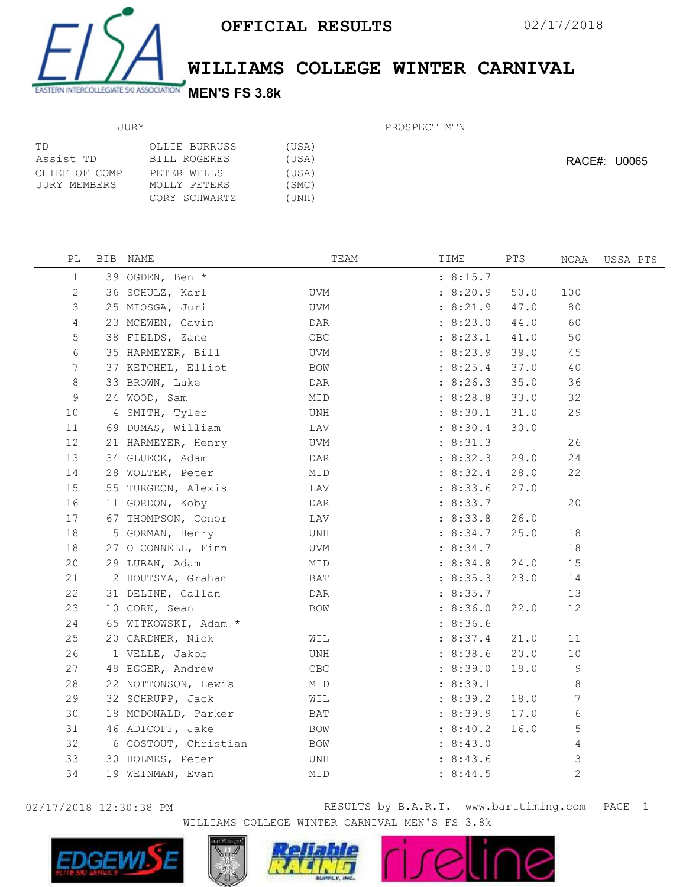

## WILLIAMS COLLEGE WINTER CARNIVAL

PROSPECT MTN

| ТD            | OLLIE BURRUSS | (USA) |
|---------------|---------------|-------|
| Assist TD     | BILL ROGERES  | (USA) |
| CHIEF OF COMP | PETER WELLS   | (USA) |
| JURY MEMBERS  | MOLLY PETERS  | (SMC) |
|               | CORY SCHWARTZ | (UNH) |

RACE#: U0065

|  | TEAM                                                                                                                                                                                                                                                                                                                                                                                                                                                                                                                                                                                                                                                                                                                   | TIME     | PTS  | NCAA         | USSA PTS |
|--|------------------------------------------------------------------------------------------------------------------------------------------------------------------------------------------------------------------------------------------------------------------------------------------------------------------------------------------------------------------------------------------------------------------------------------------------------------------------------------------------------------------------------------------------------------------------------------------------------------------------------------------------------------------------------------------------------------------------|----------|------|--------------|----------|
|  |                                                                                                                                                                                                                                                                                                                                                                                                                                                                                                                                                                                                                                                                                                                        | : 8:15.7 |      |              |          |
|  | UVM                                                                                                                                                                                                                                                                                                                                                                                                                                                                                                                                                                                                                                                                                                                    | : 8:20.9 | 50.0 | 100          |          |
|  | UVM                                                                                                                                                                                                                                                                                                                                                                                                                                                                                                                                                                                                                                                                                                                    | : 8:21.9 | 47.0 | 80           |          |
|  | DAR                                                                                                                                                                                                                                                                                                                                                                                                                                                                                                                                                                                                                                                                                                                    | : 8:23.0 | 44.0 | 60           |          |
|  | <b>CBC</b>                                                                                                                                                                                                                                                                                                                                                                                                                                                                                                                                                                                                                                                                                                             | : 8:23.1 | 41.0 | 50           |          |
|  | UVM                                                                                                                                                                                                                                                                                                                                                                                                                                                                                                                                                                                                                                                                                                                    | : 8:23.9 | 39.0 | 45           |          |
|  | BOW                                                                                                                                                                                                                                                                                                                                                                                                                                                                                                                                                                                                                                                                                                                    | : 8:25.4 | 37.0 | 40           |          |
|  | DAR                                                                                                                                                                                                                                                                                                                                                                                                                                                                                                                                                                                                                                                                                                                    | : 8:26.3 | 35.0 | 36           |          |
|  | MID                                                                                                                                                                                                                                                                                                                                                                                                                                                                                                                                                                                                                                                                                                                    | : 8:28.8 | 33.0 | 32           |          |
|  | UNH                                                                                                                                                                                                                                                                                                                                                                                                                                                                                                                                                                                                                                                                                                                    | : 8:30.1 | 31.0 | 29           |          |
|  | LAV                                                                                                                                                                                                                                                                                                                                                                                                                                                                                                                                                                                                                                                                                                                    | : 8:30.4 | 30.0 |              |          |
|  | UVM                                                                                                                                                                                                                                                                                                                                                                                                                                                                                                                                                                                                                                                                                                                    | : 8:31.3 |      | 26           |          |
|  | DAR                                                                                                                                                                                                                                                                                                                                                                                                                                                                                                                                                                                                                                                                                                                    | : 8:32.3 | 29.0 | 24           |          |
|  | MID                                                                                                                                                                                                                                                                                                                                                                                                                                                                                                                                                                                                                                                                                                                    | : 8:32.4 | 28.0 | 22           |          |
|  | LAV                                                                                                                                                                                                                                                                                                                                                                                                                                                                                                                                                                                                                                                                                                                    | : 8:33.6 | 27.0 |              |          |
|  | DAR                                                                                                                                                                                                                                                                                                                                                                                                                                                                                                                                                                                                                                                                                                                    | : 8:33.7 |      | 20           |          |
|  | LAV                                                                                                                                                                                                                                                                                                                                                                                                                                                                                                                                                                                                                                                                                                                    | : 8:33.8 | 26.0 |              |          |
|  | UNH                                                                                                                                                                                                                                                                                                                                                                                                                                                                                                                                                                                                                                                                                                                    | : 8:34.7 | 25.0 | 18           |          |
|  | UVM                                                                                                                                                                                                                                                                                                                                                                                                                                                                                                                                                                                                                                                                                                                    | : 8:34.7 |      | 18           |          |
|  | MID                                                                                                                                                                                                                                                                                                                                                                                                                                                                                                                                                                                                                                                                                                                    | : 8:34.8 | 24.0 | 15           |          |
|  | BAT                                                                                                                                                                                                                                                                                                                                                                                                                                                                                                                                                                                                                                                                                                                    | : 8:35.3 | 23.0 | 14           |          |
|  | DAR                                                                                                                                                                                                                                                                                                                                                                                                                                                                                                                                                                                                                                                                                                                    | : 8:35.7 |      | 13           |          |
|  | BOW                                                                                                                                                                                                                                                                                                                                                                                                                                                                                                                                                                                                                                                                                                                    | : 8:36.0 | 22.0 | 12           |          |
|  |                                                                                                                                                                                                                                                                                                                                                                                                                                                                                                                                                                                                                                                                                                                        | : 8:36.6 |      |              |          |
|  | WIL                                                                                                                                                                                                                                                                                                                                                                                                                                                                                                                                                                                                                                                                                                                    | : 8:37.4 | 21.0 | 11           |          |
|  | UNH                                                                                                                                                                                                                                                                                                                                                                                                                                                                                                                                                                                                                                                                                                                    | : 8:38.6 | 20.0 | 10           |          |
|  | <b>CBC</b>                                                                                                                                                                                                                                                                                                                                                                                                                                                                                                                                                                                                                                                                                                             | : 8:39.0 | 19.0 | 9            |          |
|  | MID                                                                                                                                                                                                                                                                                                                                                                                                                                                                                                                                                                                                                                                                                                                    | : 8:39.1 |      | 8            |          |
|  | WIL                                                                                                                                                                                                                                                                                                                                                                                                                                                                                                                                                                                                                                                                                                                    | : 8:39.2 | 18.0 | 7            |          |
|  | BAT                                                                                                                                                                                                                                                                                                                                                                                                                                                                                                                                                                                                                                                                                                                    | : 8:39.9 | 17.0 | 6            |          |
|  | BOW                                                                                                                                                                                                                                                                                                                                                                                                                                                                                                                                                                                                                                                                                                                    | : 8:40.2 | 16.0 | 5            |          |
|  | <b>BOW</b>                                                                                                                                                                                                                                                                                                                                                                                                                                                                                                                                                                                                                                                                                                             | : 8:43.0 |      | 4            |          |
|  | UNH                                                                                                                                                                                                                                                                                                                                                                                                                                                                                                                                                                                                                                                                                                                    | : 8:43.6 |      | 3            |          |
|  | MID                                                                                                                                                                                                                                                                                                                                                                                                                                                                                                                                                                                                                                                                                                                    | : 8:44.5 |      | $\mathbf{2}$ |          |
|  | BIB NAME<br>39 OGDEN, Ben *<br>36 SCHULZ, Karl<br>25 MIOSGA, Juri<br>23 MCEWEN, Gavin<br>38 FIELDS, Zane<br>35 HARMEYER, Bill<br>37 KETCHEL, Elliot<br>33 BROWN, Luke<br>24 WOOD, Sam<br>4 SMITH, Tyler<br>69 DUMAS, William<br>21 HARMEYER, Henry<br>34 GLUECK, Adam<br>28 WOLTER, Peter<br>55 TURGEON, Alexis<br>11 GORDON, Koby<br>67 THOMPSON, Conor<br>5 GORMAN, Henry<br>27 O CONNELL, Finn<br>29 LUBAN, Adam<br>2 HOUTSMA, Graham<br>31 DELINE, Callan<br>10 CORK, Sean<br>65 WITKOWSKI, Adam *<br>20 GARDNER, Nick<br>1 VELLE, Jakob<br>49 EGGER, Andrew<br>22 NOTTONSON, Lewis<br>32 SCHRUPP, Jack<br>18 MCDONALD, Parker<br>46 ADICOFF, Jake<br>6 GOSTOUT, Christian<br>30 HOLMES, Peter<br>19 WEINMAN, Evan |          |      |              |          |

02/17/2018 12:30:38 PM RESULTS by B.A.R.T. www.barttiming.com PAGE 1 WILLIAMS COLLEGE WINTER CARNIVAL MEN'S FS 3.8k